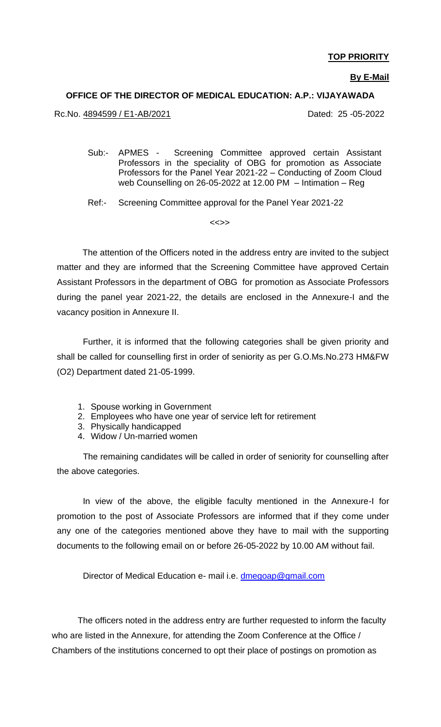### **TOP PRIORITY**

#### **By E-Mail**

#### **OFFICE OF THE DIRECTOR OF MEDICAL EDUCATION: A.P.: VIJAYAWADA**

Rc.No. 4894599 / E1-AB/2021 Dated: 25 -05-2022

Sub:- APMES - Screening Committee approved certain Assistant Professors in the speciality of OBG for promotion as Associate Professors for the Panel Year 2021-22 – Conducting of Zoom Cloud web Counselling on 26-05-2022 at 12.00 PM – Intimation – Reg

Ref:- Screening Committee approval for the Panel Year 2021-22

<<>>

 The attention of the Officers noted in the address entry are invited to the subject matter and they are informed that the Screening Committee have approved Certain Assistant Professors in the department of OBG for promotion as Associate Professors during the panel year 2021-22, the details are enclosed in the Annexure-I and the vacancy position in Annexure II.

Further, it is informed that the following categories shall be given priority and shall be called for counselling first in order of seniority as per G.O.Ms.No.273 HM&FW (O2) Department dated 21-05-1999.

- 1. Spouse working in Government
- 2. Employees who have one year of service left for retirement
- 3. Physically handicapped
- 4. Widow / Un-married women

The remaining candidates will be called in order of seniority for counselling after the above categories.

In view of the above, the eligible faculty mentioned in the Annexure-I for promotion to the post of Associate Professors are informed that if they come under any one of the categories mentioned above they have to mail with the supporting documents to the following email on or before 26-05-2022 by 10.00 AM without fail.

Director of Medical Education e- mail i.e. [dmegoap@gmail.com](mailto:dmegoap@gmail.com)

The officers noted in the address entry are further requested to inform the faculty who are listed in the Annexure, for attending the Zoom Conference at the Office / Chambers of the institutions concerned to opt their place of postings on promotion as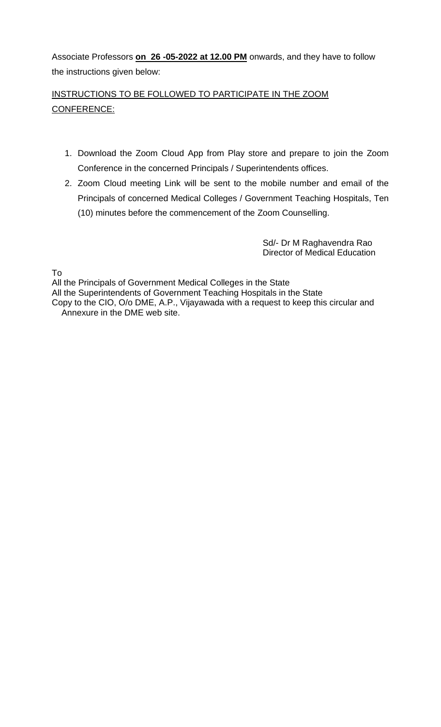Associate Professors **on 26 -05-2022 at 12.00 PM** onwards, and they have to follow the instructions given below:

### INSTRUCTIONS TO BE FOLLOWED TO PARTICIPATE IN THE ZOOM CONFERENCE:

- 1. Download the Zoom Cloud App from Play store and prepare to join the Zoom Conference in the concerned Principals / Superintendents offices.
- 2. Zoom Cloud meeting Link will be sent to the mobile number and email of the Principals of concerned Medical Colleges / Government Teaching Hospitals, Ten (10) minutes before the commencement of the Zoom Counselling.

 Sd/- Dr M Raghavendra Rao Director of Medical Education

To

All the Principals of Government Medical Colleges in the State All the Superintendents of Government Teaching Hospitals in the State Copy to the CIO, O/o DME, A.P., Vijayawada with a request to keep this circular and Annexure in the DME web site.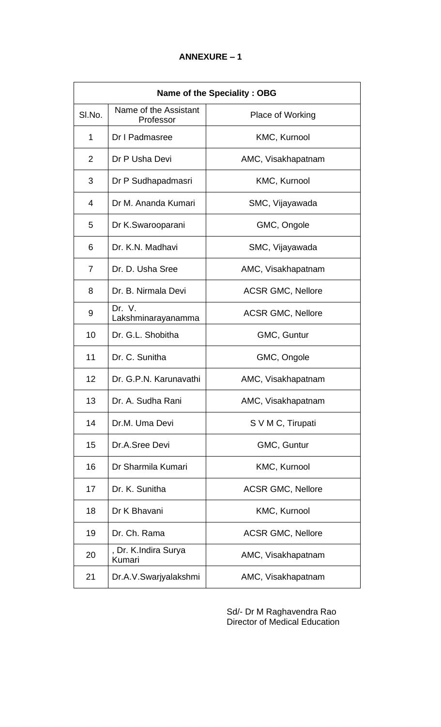| <b>Name of the Speciality: OBG</b> |                                    |                          |  |
|------------------------------------|------------------------------------|--------------------------|--|
| SI.No.                             | Name of the Assistant<br>Professor | Place of Working         |  |
| 1                                  | Dr I Padmasree                     | KMC, Kurnool             |  |
| 2                                  | Dr P Usha Devi                     | AMC, Visakhapatnam       |  |
| 3                                  | Dr P Sudhapadmasri                 | KMC, Kurnool             |  |
| 4                                  | Dr M. Ananda Kumari                | SMC, Vijayawada          |  |
| 5                                  | Dr K.Swarooparani                  | GMC, Ongole              |  |
| 6                                  | Dr. K.N. Madhavi                   | SMC, Vijayawada          |  |
| 7                                  | Dr. D. Usha Sree                   | AMC, Visakhapatnam       |  |
| 8                                  | Dr. B. Nirmala Devi                | <b>ACSR GMC, Nellore</b> |  |
| 9                                  | Dr. V.<br>Lakshminarayanamma       | <b>ACSR GMC, Nellore</b> |  |
| 10                                 | Dr. G.L. Shobitha                  | GMC, Guntur              |  |
| 11                                 | Dr. C. Sunitha                     | GMC, Ongole              |  |
| 12                                 | Dr. G.P.N. Karunavathi             | AMC, Visakhapatnam       |  |
| 13                                 | Dr. A. Sudha Rani                  | AMC, Visakhapatnam       |  |
| 14                                 | Dr.M. Uma Devi                     | S V M C, Tirupati        |  |
| 15                                 | Dr.A.Sree Devi                     | GMC, Guntur              |  |
| 16                                 | Dr Sharmila Kumari                 | KMC, Kurnool             |  |
| 17                                 | Dr. K. Sunitha                     | <b>ACSR GMC, Nellore</b> |  |
| 18                                 | Dr K Bhavani                       | KMC, Kurnool             |  |
| 19                                 | Dr. Ch. Rama                       | <b>ACSR GMC, Nellore</b> |  |
| 20                                 | , Dr. K.Indira Surya<br>Kumari     | AMC, Visakhapatnam       |  |
| 21                                 | Dr.A.V.Swarjyalakshmi              | AMC, Visakhapatnam       |  |

 Sd/- Dr M Raghavendra Rao **Director of Medical Education**